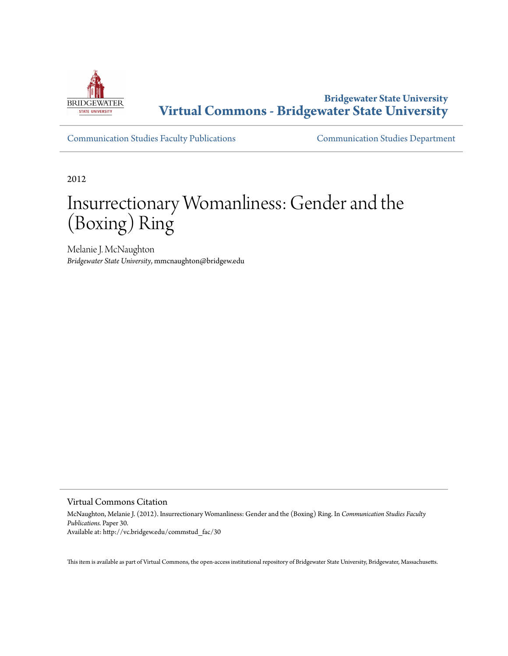

**Bridgewater State University [Virtual Commons - Bridgewater State University](http://vc.bridgew.edu)**

[Communication Studies Faculty Publications](http://vc.bridgew.edu/commstud_fac) [Communication Studies Department](http://vc.bridgew.edu/commstud)

2012

# Insurrectionary Womanliness: Gender and the (Boxing) Ring

Melanie J. McNaughton *Bridgewater State University*, mmcnaughton@bridgew.edu

Virtual Commons Citation

McNaughton, Melanie J. (2012). Insurrectionary Womanliness: Gender and the (Boxing) Ring. In *Communication Studies Faculty Publications.* Paper 30. Available at: http://vc.bridgew.edu/commstud\_fac/30

This item is available as part of Virtual Commons, the open-access institutional repository of Bridgewater State University, Bridgewater, Massachusetts.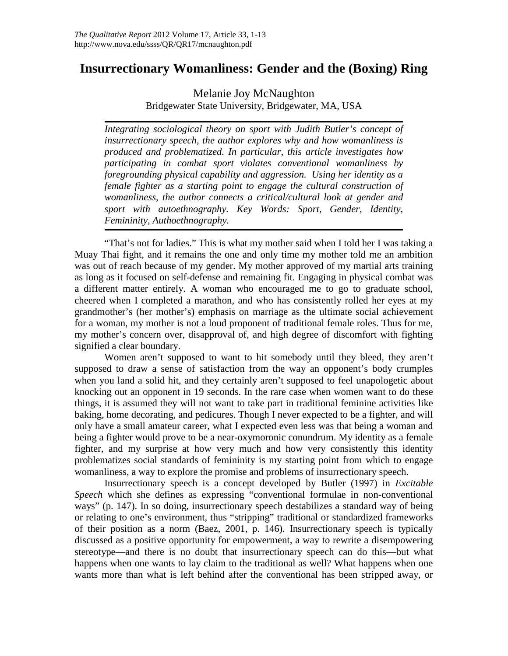# **Insurrectionary Womanliness: Gender and the (Boxing) Ring**

Melanie Joy McNaughton Bridgewater State University, Bridgewater, MA, USA

*Integrating sociological theory on sport with Judith Butler's concept of insurrectionary speech, the author explores why and how womanliness is produced and problematized. In particular, this article investigates how participating in combat sport violates conventional womanliness by foregrounding physical capability and aggression. Using her identity as a female fighter as a starting point to engage the cultural construction of womanliness, the author connects a critical/cultural look at gender and sport with autoethnography. Key Words: Sport, Gender, Identity, Femininity, Authoethnography.*

"That's not for ladies." This is what my mother said when I told her I was taking a Muay Thai fight, and it remains the one and only time my mother told me an ambition was out of reach because of my gender. My mother approved of my martial arts training as long as it focused on self-defense and remaining fit. Engaging in physical combat was a different matter entirely. A woman who encouraged me to go to graduate school, cheered when I completed a marathon, and who has consistently rolled her eyes at my grandmother's (her mother's) emphasis on marriage as the ultimate social achievement for a woman, my mother is not a loud proponent of traditional female roles. Thus for me, my mother's concern over, disapproval of, and high degree of discomfort with fighting signified a clear boundary.

Women aren't supposed to want to hit somebody until they bleed, they aren't supposed to draw a sense of satisfaction from the way an opponent's body crumples when you land a solid hit, and they certainly aren't supposed to feel unapologetic about knocking out an opponent in 19 seconds. In the rare case when women want to do these things, it is assumed they will not want to take part in traditional feminine activities like baking, home decorating, and pedicures. Though I never expected to be a fighter, and will only have a small amateur career, what I expected even less was that being a woman and being a fighter would prove to be a near-oxymoronic conundrum. My identity as a female fighter, and my surprise at how very much and how very consistently this identity problematizes social standards of femininity is my starting point from which to engage womanliness, a way to explore the promise and problems of insurrectionary speech.

Insurrectionary speech is a concept developed by Butler (1997) in *Excitable Speech* which she defines as expressing "conventional formulae in non-conventional ways" (p. 147). In so doing, insurrectionary speech destabilizes a standard way of being or relating to one's environment, thus "stripping" traditional or standardized frameworks of their position as a norm (Baez, 2001, p. 146). Insurrectionary speech is typically discussed as a positive opportunity for empowerment, a way to rewrite a disempowering stereotype—and there is no doubt that insurrectionary speech can do this—but what happens when one wants to lay claim to the traditional as well? What happens when one wants more than what is left behind after the conventional has been stripped away, or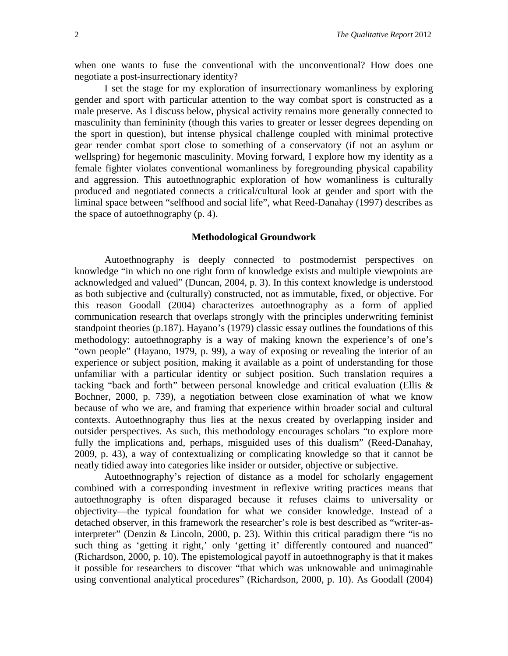when one wants to fuse the conventional with the unconventional? How does one negotiate a post-insurrectionary identity?

I set the stage for my exploration of insurrectionary womanliness by exploring gender and sport with particular attention to the way combat sport is constructed as a male preserve. As I discuss below, physical activity remains more generally connected to masculinity than femininity (though this varies to greater or lesser degrees depending on the sport in question), but intense physical challenge coupled with minimal protective gear render combat sport close to something of a conservatory (if not an asylum or wellspring) for hegemonic masculinity. Moving forward, I explore how my identity as a female fighter violates conventional womanliness by foregrounding physical capability and aggression. This autoethnographic exploration of how womanliness is culturally produced and negotiated connects a critical/cultural look at gender and sport with the liminal space between "selfhood and social life", what Reed-Danahay (1997) describes as the space of autoethnography (p. 4).

#### **Methodological Groundwork**

Autoethnography is deeply connected to postmodernist perspectives on knowledge "in which no one right form of knowledge exists and multiple viewpoints are acknowledged and valued" (Duncan, 2004, p. 3). In this context knowledge is understood as both subjective and (culturally) constructed, not as immutable, fixed, or objective. For this reason Goodall (2004) characterizes autoethnography as a form of applied communication research that overlaps strongly with the principles underwriting feminist standpoint theories (p.187). Hayano's (1979) classic essay outlines the foundations of this methodology: autoethnography is a way of making known the experience's of one's "own people" (Hayano, 1979, p. 99), a way of exposing or revealing the interior of an experience or subject position, making it available as a point of understanding for those unfamiliar with a particular identity or subject position. Such translation requires a tacking "back and forth" between personal knowledge and critical evaluation (Ellis & Bochner, 2000, p. 739), a negotiation between close examination of what we know because of who we are, and framing that experience within broader social and cultural contexts. Autoethnography thus lies at the nexus created by overlapping insider and outsider perspectives. As such, this methodology encourages scholars "to explore more fully the implications and, perhaps, misguided uses of this dualism" (Reed-Danahay, 2009, p. 43), a way of contextualizing or complicating knowledge so that it cannot be neatly tidied away into categories like insider or outsider, objective or subjective.

Autoethnography's rejection of distance as a model for scholarly engagement combined with a corresponding investment in reflexive writing practices means that autoethnography is often disparaged because it refuses claims to universality or objectivity—the typical foundation for what we consider knowledge. Instead of a detached observer, in this framework the researcher's role is best described as "writer-asinterpreter" (Denzin & Lincoln, 2000, p. 23). Within this critical paradigm there "is no such thing as 'getting it right,' only 'getting it' differently contoured and nuanced" (Richardson, 2000, p. 10). The epistemological payoff in autoethnography is that it makes it possible for researchers to discover "that which was unknowable and unimaginable using conventional analytical procedures" (Richardson, 2000, p. 10). As Goodall (2004)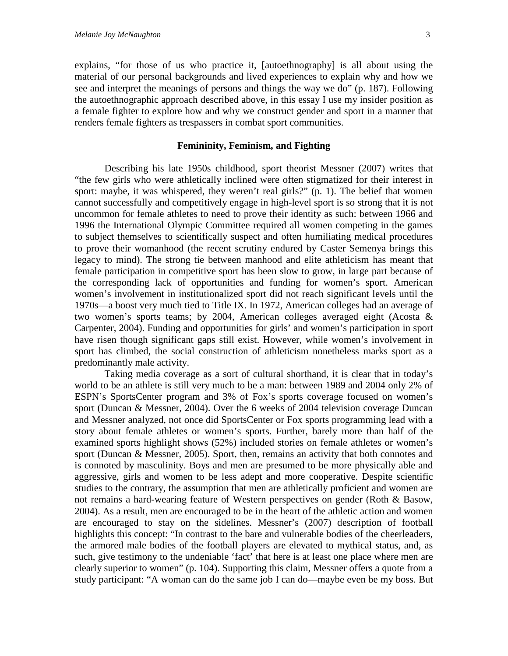explains, "for those of us who practice it, [autoethnography] is all about using the material of our personal backgrounds and lived experiences to explain why and how we see and interpret the meanings of persons and things the way we do" (p. 187). Following the autoethnographic approach described above, in this essay I use my insider position as a female fighter to explore how and why we construct gender and sport in a manner that renders female fighters as trespassers in combat sport communities.

#### **Femininity, Feminism, and Fighting**

Describing his late 1950s childhood, sport theorist Messner (2007) writes that "the few girls who were athletically inclined were often stigmatized for their interest in sport: maybe, it was whispered, they weren't real girls?" (p. 1). The belief that women cannot successfully and competitively engage in high-level sport is so strong that it is not uncommon for female athletes to need to prove their identity as such: between 1966 and 1996 the International Olympic Committee required all women competing in the games to subject themselves to scientifically suspect and often humiliating medical procedures to prove their womanhood (the recent scrutiny endured by Caster Semenya brings this legacy to mind). The strong tie between manhood and elite athleticism has meant that female participation in competitive sport has been slow to grow, in large part because of the corresponding lack of opportunities and funding for women's sport. American women's involvement in institutionalized sport did not reach significant levels until the 1970s—a boost very much tied to Title IX. In 1972, American colleges had an average of two women's sports teams; by 2004, American colleges averaged eight (Acosta & Carpenter, 2004). Funding and opportunities for girls' and women's participation in sport have risen though significant gaps still exist. However, while women's involvement in sport has climbed, the social construction of athleticism nonetheless marks sport as a predominantly male activity.

Taking media coverage as a sort of cultural shorthand, it is clear that in today's world to be an athlete is still very much to be a man: between 1989 and 2004 only 2% of ESPN's SportsCenter program and 3% of Fox's sports coverage focused on women's sport (Duncan & Messner, 2004). Over the 6 weeks of 2004 television coverage Duncan and Messner analyzed, not once did SportsCenter or Fox sports programming lead with a story about female athletes or women's sports. Further, barely more than half of the examined sports highlight shows (52%) included stories on female athletes or women's sport (Duncan & Messner, 2005). Sport, then, remains an activity that both connotes and is connoted by masculinity. Boys and men are presumed to be more physically able and aggressive, girls and women to be less adept and more cooperative. Despite scientific studies to the contrary, the assumption that men are athletically proficient and women are not remains a hard-wearing feature of Western perspectives on gender (Roth & Basow, 2004). As a result, men are encouraged to be in the heart of the athletic action and women are encouraged to stay on the sidelines. Messner's (2007) description of football highlights this concept: "In contrast to the bare and vulnerable bodies of the cheerleaders, the armored male bodies of the football players are elevated to mythical status, and, as such, give testimony to the undeniable 'fact' that here is at least one place where men are clearly superior to women" (p. 104). Supporting this claim, Messner offers a quote from a study participant: "A woman can do the same job I can do—maybe even be my boss. But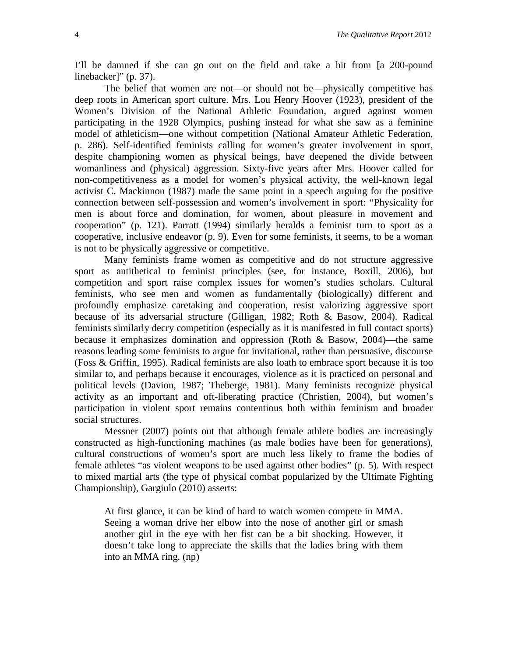I'll be damned if she can go out on the field and take a hit from [a 200-pound linebacker]" (p. 37).

The belief that women are not—or should not be—physically competitive has deep roots in American sport culture. Mrs. Lou Henry Hoover (1923), president of the Women's Division of the National Athletic Foundation, argued against women participating in the 1928 Olympics, pushing instead for what she saw as a feminine model of athleticism—one without competition (National Amateur Athletic Federation, p. 286). Self-identified feminists calling for women's greater involvement in sport, despite championing women as physical beings, have deepened the divide between womanliness and (physical) aggression. Sixty-five years after Mrs. Hoover called for non-competitiveness as a model for women's physical activity, the well-known legal activist C. Mackinnon (1987) made the same point in a speech arguing for the positive connection between self-possession and women's involvement in sport: "Physicality for men is about force and domination, for women, about pleasure in movement and cooperation" (p. 121). Parratt (1994) similarly heralds a feminist turn to sport as a cooperative, inclusive endeavor (p. 9). Even for some feminists, it seems, to be a woman is not to be physically aggressive or competitive.

Many feminists frame women as competitive and do not structure aggressive sport as antithetical to feminist principles (see, for instance, Boxill, 2006), but competition and sport raise complex issues for women's studies scholars. Cultural feminists, who see men and women as fundamentally (biologically) different and profoundly emphasize caretaking and cooperation, resist valorizing aggressive sport because of its adversarial structure (Gilligan, 1982; Roth & Basow, 2004). Radical feminists similarly decry competition (especially as it is manifested in full contact sports) because it emphasizes domination and oppression (Roth & Basow, 2004)—the same reasons leading some feminists to argue for invitational, rather than persuasive, discourse (Foss & Griffin, 1995). Radical feminists are also loath to embrace sport because it is too similar to, and perhaps because it encourages, violence as it is practiced on personal and political levels (Davion, 1987; Theberge, 1981). Many feminists recognize physical activity as an important and oft-liberating practice (Christien, 2004), but women's participation in violent sport remains contentious both within feminism and broader social structures.

Messner (2007) points out that although female athlete bodies are increasingly constructed as high-functioning machines (as male bodies have been for generations), cultural constructions of women's sport are much less likely to frame the bodies of female athletes "as violent weapons to be used against other bodies" (p. 5). With respect to mixed martial arts (the type of physical combat popularized by the Ultimate Fighting Championship), Gargiulo (2010) asserts:

At first glance, it can be kind of hard to watch women compete in MMA. Seeing a woman drive her elbow into the nose of another girl or smash another girl in the eye with her fist can be a bit shocking. However, it doesn't take long to appreciate the skills that the ladies bring with them into an MMA ring. (np)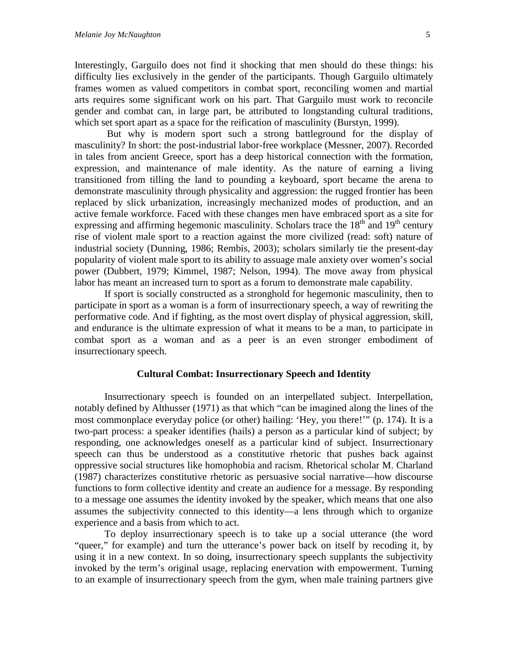Interestingly, Garguilo does not find it shocking that men should do these things: his difficulty lies exclusively in the gender of the participants. Though Garguilo ultimately frames women as valued competitors in combat sport, reconciling women and martial arts requires some significant work on his part. That Garguilo must work to reconcile gender and combat can, in large part, be attributed to longstanding cultural traditions, which set sport apart as a space for the reification of masculinity (Burstyn, 1999).

But why is modern sport such a strong battleground for the display of masculinity? In short: the post-industrial labor-free workplace (Messner, 2007). Recorded in tales from ancient Greece, sport has a deep historical connection with the formation, expression, and maintenance of male identity. As the nature of earning a living transitioned from tilling the land to pounding a keyboard, sport became the arena to demonstrate masculinity through physicality and aggression: the rugged frontier has been replaced by slick urbanization, increasingly mechanized modes of production, and an active female workforce. Faced with these changes men have embraced sport as a site for expressing and affirming hegemonic masculinity. Scholars trace the  $18<sup>th</sup>$  and  $19<sup>th</sup>$  century rise of violent male sport to a reaction against the more civilized (read: soft) nature of industrial society (Dunning, 1986; Rembis, 2003); scholars similarly tie the present-day popularity of violent male sport to its ability to assuage male anxiety over women's social power (Dubbert, 1979; Kimmel, 1987; Nelson, 1994). The move away from physical labor has meant an increased turn to sport as a forum to demonstrate male capability.

If sport is socially constructed as a stronghold for hegemonic masculinity, then to participate in sport as a woman is a form of insurrectionary speech, a way of rewriting the performative code. And if fighting, as the most overt display of physical aggression, skill, and endurance is the ultimate expression of what it means to be a man, to participate in combat sport as a woman and as a peer is an even stronger embodiment of insurrectionary speech.

#### **Cultural Combat: Insurrectionary Speech and Identity**

Insurrectionary speech is founded on an interpellated subject. Interpellation, notably defined by Althusser (1971) as that which "can be imagined along the lines of the most commonplace everyday police (or other) hailing: 'Hey, you there!'" (p. 174). It is a two-part process: a speaker identifies (hails) a person as a particular kind of subject; by responding, one acknowledges oneself as a particular kind of subject. Insurrectionary speech can thus be understood as a constitutive rhetoric that pushes back against oppressive social structures like homophobia and racism. Rhetorical scholar M. Charland (1987) characterizes constitutive rhetoric as persuasive social narrative—how discourse functions to form collective identity and create an audience for a message. By responding to a message one assumes the identity invoked by the speaker, which means that one also assumes the subjectivity connected to this identity—a lens through which to organize experience and a basis from which to act.

To deploy insurrectionary speech is to take up a social utterance (the word "queer," for example) and turn the utterance's power back on itself by recoding it, by using it in a new context. In so doing, insurrectionary speech supplants the subjectivity invoked by the term's original usage, replacing enervation with empowerment. Turning to an example of insurrectionary speech from the gym, when male training partners give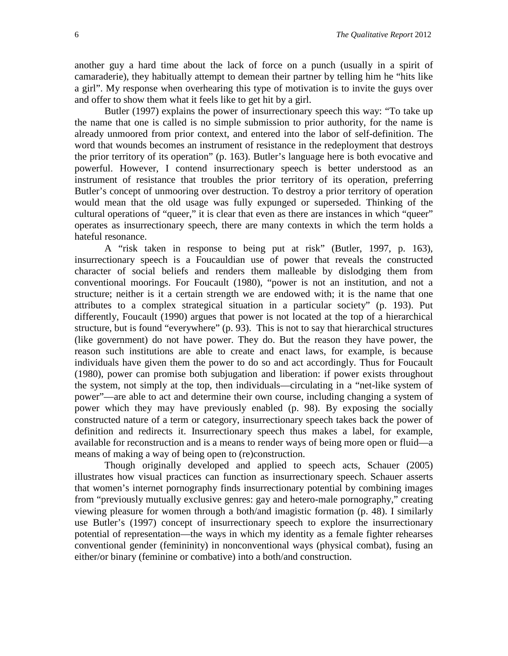another guy a hard time about the lack of force on a punch (usually in a spirit of camaraderie), they habitually attempt to demean their partner by telling him he "hits like a girl". My response when overhearing this type of motivation is to invite the guys over and offer to show them what it feels like to get hit by a girl.

Butler (1997) explains the power of insurrectionary speech this way: "To take up the name that one is called is no simple submission to prior authority, for the name is already unmoored from prior context, and entered into the labor of self-definition. The word that wounds becomes an instrument of resistance in the redeployment that destroys the prior territory of its operation" (p. 163). Butler's language here is both evocative and powerful. However, I contend insurrectionary speech is better understood as an instrument of resistance that troubles the prior territory of its operation, preferring Butler's concept of unmooring over destruction. To destroy a prior territory of operation would mean that the old usage was fully expunged or superseded. Thinking of the cultural operations of "queer," it is clear that even as there are instances in which "queer" operates as insurrectionary speech, there are many contexts in which the term holds a hateful resonance.

A "risk taken in response to being put at risk" (Butler, 1997, p. 163), insurrectionary speech is a Foucauldian use of power that reveals the constructed character of social beliefs and renders them malleable by dislodging them from conventional moorings. For Foucault (1980), "power is not an institution, and not a structure; neither is it a certain strength we are endowed with; it is the name that one attributes to a complex strategical situation in a particular society" (p. 193). Put differently, Foucault (1990) argues that power is not located at the top of a hierarchical structure, but is found "everywhere" (p. 93). This is not to say that hierarchical structures (like government) do not have power. They do. But the reason they have power, the reason such institutions are able to create and enact laws, for example, is because individuals have given them the power to do so and act accordingly. Thus for Foucault (1980), power can promise both subjugation and liberation: if power exists throughout the system, not simply at the top, then individuals—circulating in a "net-like system of power"—are able to act and determine their own course, including changing a system of power which they may have previously enabled (p. 98). By exposing the socially constructed nature of a term or category, insurrectionary speech takes back the power of definition and redirects it. Insurrectionary speech thus makes a label, for example, available for reconstruction and is a means to render ways of being more open or fluid—a means of making a way of being open to (re)construction.

Though originally developed and applied to speech acts, Schauer (2005) illustrates how visual practices can function as insurrectionary speech. Schauer asserts that women's internet pornography finds insurrectionary potential by combining images from "previously mutually exclusive genres: gay and hetero-male pornography," creating viewing pleasure for women through a both/and imagistic formation (p. 48). I similarly use Butler's (1997) concept of insurrectionary speech to explore the insurrectionary potential of representation—the ways in which my identity as a female fighter rehearses conventional gender (femininity) in nonconventional ways (physical combat), fusing an either/or binary (feminine or combative) into a both/and construction.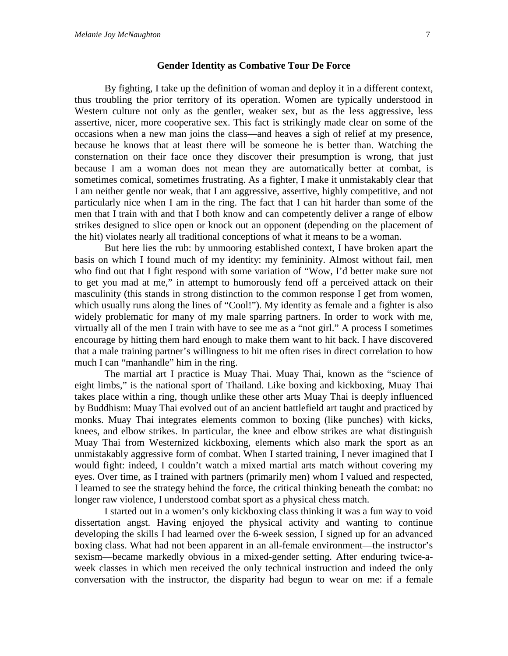#### **Gender Identity as Combative Tour De Force**

By fighting, I take up the definition of woman and deploy it in a different context, thus troubling the prior territory of its operation. Women are typically understood in Western culture not only as the gentler, weaker sex, but as the less aggressive, less assertive, nicer, more cooperative sex. This fact is strikingly made clear on some of the occasions when a new man joins the class—and heaves a sigh of relief at my presence, because he knows that at least there will be someone he is better than. Watching the consternation on their face once they discover their presumption is wrong, that just because I am a woman does not mean they are automatically better at combat, is sometimes comical, sometimes frustrating. As a fighter, I make it unmistakably clear that I am neither gentle nor weak, that I am aggressive, assertive, highly competitive, and not particularly nice when I am in the ring. The fact that I can hit harder than some of the men that I train with and that I both know and can competently deliver a range of elbow strikes designed to slice open or knock out an opponent (depending on the placement of the hit) violates nearly all traditional conceptions of what it means to be a woman.

But here lies the rub: by unmooring established context, I have broken apart the basis on which I found much of my identity: my femininity. Almost without fail, men who find out that I fight respond with some variation of "Wow, I'd better make sure not to get you mad at me," in attempt to humorously fend off a perceived attack on their masculinity (this stands in strong distinction to the common response I get from women, which usually runs along the lines of "Cool!"). My identity as female and a fighter is also widely problematic for many of my male sparring partners. In order to work with me, virtually all of the men I train with have to see me as a "not girl." A process I sometimes encourage by hitting them hard enough to make them want to hit back. I have discovered that a male training partner's willingness to hit me often rises in direct correlation to how much I can "manhandle" him in the ring.

The martial art I practice is Muay Thai. Muay Thai, known as the "science of eight limbs," is the national sport of Thailand. Like boxing and kickboxing, Muay Thai takes place within a ring, though unlike these other arts Muay Thai is deeply influenced by Buddhism: Muay Thai evolved out of an ancient battlefield art taught and practiced by monks. Muay Thai integrates elements common to boxing (like punches) with kicks, knees, and elbow strikes. In particular, the knee and elbow strikes are what distinguish Muay Thai from Westernized kickboxing, elements which also mark the sport as an unmistakably aggressive form of combat. When I started training, I never imagined that I would fight: indeed, I couldn't watch a mixed martial arts match without covering my eyes. Over time, as I trained with partners (primarily men) whom I valued and respected, I learned to see the strategy behind the force, the critical thinking beneath the combat: no longer raw violence, I understood combat sport as a physical chess match.

I started out in a women's only kickboxing class thinking it was a fun way to void dissertation angst. Having enjoyed the physical activity and wanting to continue developing the skills I had learned over the 6-week session, I signed up for an advanced boxing class. What had not been apparent in an all-female environment—the instructor's sexism—became markedly obvious in a mixed-gender setting. After enduring twice-aweek classes in which men received the only technical instruction and indeed the only conversation with the instructor, the disparity had begun to wear on me: if a female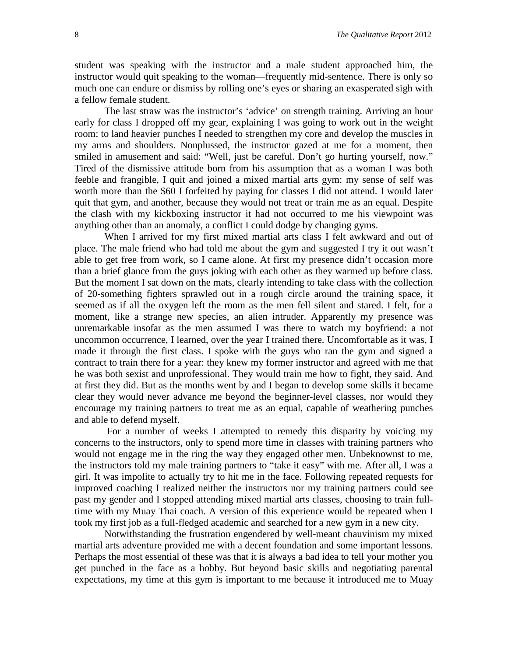student was speaking with the instructor and a male student approached him, the instructor would quit speaking to the woman—frequently mid-sentence. There is only so much one can endure or dismiss by rolling one's eyes or sharing an exasperated sigh with a fellow female student.

The last straw was the instructor's 'advice' on strength training. Arriving an hour early for class I dropped off my gear, explaining I was going to work out in the weight room: to land heavier punches I needed to strengthen my core and develop the muscles in my arms and shoulders. Nonplussed, the instructor gazed at me for a moment, then smiled in amusement and said: "Well, just be careful. Don't go hurting yourself, now." Tired of the dismissive attitude born from his assumption that as a woman I was both feeble and frangible, I quit and joined a mixed martial arts gym: my sense of self was worth more than the \$60 I forfeited by paying for classes I did not attend. I would later quit that gym, and another, because they would not treat or train me as an equal. Despite the clash with my kickboxing instructor it had not occurred to me his viewpoint was anything other than an anomaly, a conflict I could dodge by changing gyms.

When I arrived for my first mixed martial arts class I felt awkward and out of place. The male friend who had told me about the gym and suggested I try it out wasn't able to get free from work, so I came alone. At first my presence didn't occasion more than a brief glance from the guys joking with each other as they warmed up before class. But the moment I sat down on the mats, clearly intending to take class with the collection of 20-something fighters sprawled out in a rough circle around the training space, it seemed as if all the oxygen left the room as the men fell silent and stared. I felt, for a moment, like a strange new species, an alien intruder. Apparently my presence was unremarkable insofar as the men assumed I was there to watch my boyfriend: a not uncommon occurrence, I learned, over the year I trained there. Uncomfortable as it was, I made it through the first class. I spoke with the guys who ran the gym and signed a contract to train there for a year: they knew my former instructor and agreed with me that he was both sexist and unprofessional. They would train me how to fight, they said. And at first they did. But as the months went by and I began to develop some skills it became clear they would never advance me beyond the beginner-level classes, nor would they encourage my training partners to treat me as an equal, capable of weathering punches and able to defend myself.

For a number of weeks I attempted to remedy this disparity by voicing my concerns to the instructors, only to spend more time in classes with training partners who would not engage me in the ring the way they engaged other men. Unbeknownst to me, the instructors told my male training partners to "take it easy" with me. After all, I was a girl. It was impolite to actually try to hit me in the face. Following repeated requests for improved coaching I realized neither the instructors nor my training partners could see past my gender and I stopped attending mixed martial arts classes, choosing to train fulltime with my Muay Thai coach. A version of this experience would be repeated when I took my first job as a full-fledged academic and searched for a new gym in a new city.

Notwithstanding the frustration engendered by well-meant chauvinism my mixed martial arts adventure provided me with a decent foundation and some important lessons. Perhaps the most essential of these was that it is always a bad idea to tell your mother you get punched in the face as a hobby. But beyond basic skills and negotiating parental expectations, my time at this gym is important to me because it introduced me to Muay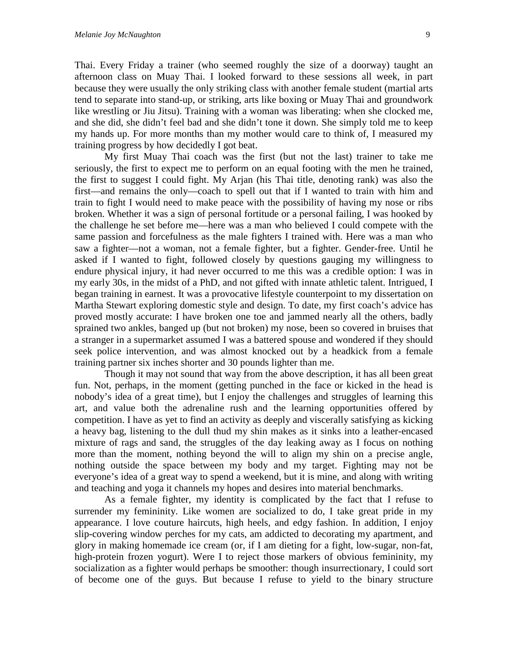Thai. Every Friday a trainer (who seemed roughly the size of a doorway) taught an afternoon class on Muay Thai. I looked forward to these sessions all week, in part because they were usually the only striking class with another female student (martial arts tend to separate into stand-up, or striking, arts like boxing or Muay Thai and groundwork like wrestling or Jiu Jitsu). Training with a woman was liberating: when she clocked me, and she did, she didn't feel bad and she didn't tone it down. She simply told me to keep my hands up. For more months than my mother would care to think of, I measured my training progress by how decidedly I got beat.

My first Muay Thai coach was the first (but not the last) trainer to take me seriously, the first to expect me to perform on an equal footing with the men he trained, the first to suggest I could fight. My Arjan (his Thai title, denoting rank) was also the first—and remains the only—coach to spell out that if I wanted to train with him and train to fight I would need to make peace with the possibility of having my nose or ribs broken. Whether it was a sign of personal fortitude or a personal failing, I was hooked by the challenge he set before me—here was a man who believed I could compete with the same passion and forcefulness as the male fighters I trained with. Here was a man who saw a fighter—not a woman, not a female fighter, but a fighter. Gender-free. Until he asked if I wanted to fight, followed closely by questions gauging my willingness to endure physical injury, it had never occurred to me this was a credible option: I was in my early 30s, in the midst of a PhD, and not gifted with innate athletic talent. Intrigued, I began training in earnest. It was a provocative lifestyle counterpoint to my dissertation on Martha Stewart exploring domestic style and design. To date, my first coach's advice has proved mostly accurate: I have broken one toe and jammed nearly all the others, badly sprained two ankles, banged up (but not broken) my nose, been so covered in bruises that a stranger in a supermarket assumed I was a battered spouse and wondered if they should seek police intervention, and was almost knocked out by a headkick from a female training partner six inches shorter and 30 pounds lighter than me.

Though it may not sound that way from the above description, it has all been great fun. Not, perhaps, in the moment (getting punched in the face or kicked in the head is nobody's idea of a great time), but I enjoy the challenges and struggles of learning this art, and value both the adrenaline rush and the learning opportunities offered by competition. I have as yet to find an activity as deeply and viscerally satisfying as kicking a heavy bag, listening to the dull thud my shin makes as it sinks into a leather-encased mixture of rags and sand, the struggles of the day leaking away as I focus on nothing more than the moment, nothing beyond the will to align my shin on a precise angle, nothing outside the space between my body and my target. Fighting may not be everyone's idea of a great way to spend a weekend, but it is mine, and along with writing and teaching and yoga it channels my hopes and desires into material benchmarks.

As a female fighter, my identity is complicated by the fact that I refuse to surrender my femininity. Like women are socialized to do, I take great pride in my appearance. I love couture haircuts, high heels, and edgy fashion. In addition, I enjoy slip-covering window perches for my cats, am addicted to decorating my apartment, and glory in making homemade ice cream (or, if I am dieting for a fight, low-sugar, non-fat, high-protein frozen yogurt). Were I to reject those markers of obvious femininity, my socialization as a fighter would perhaps be smoother: though insurrectionary, I could sort of become one of the guys. But because I refuse to yield to the binary structure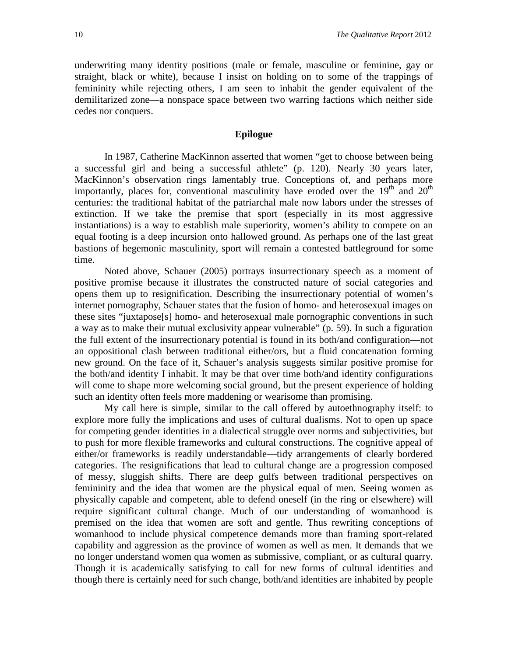underwriting many identity positions (male or female, masculine or feminine, gay or straight, black or white), because I insist on holding on to some of the trappings of femininity while rejecting others, I am seen to inhabit the gender equivalent of the demilitarized zone—a nonspace space between two warring factions which neither side cedes nor conquers.

#### **Epilogue**

In 1987, Catherine MacKinnon asserted that women "get to choose between being a successful girl and being a successful athlete" (p. 120). Nearly 30 years later, MacKinnon's observation rings lamentably true. Conceptions of, and perhaps more importantly, places for, conventional masculinity have eroded over the  $19<sup>th</sup>$  and  $20<sup>th</sup>$ centuries: the traditional habitat of the patriarchal male now labors under the stresses of extinction. If we take the premise that sport (especially in its most aggressive instantiations) is a way to establish male superiority, women's ability to compete on an equal footing is a deep incursion onto hallowed ground. As perhaps one of the last great bastions of hegemonic masculinity, sport will remain a contested battleground for some time.

Noted above, Schauer (2005) portrays insurrectionary speech as a moment of positive promise because it illustrates the constructed nature of social categories and opens them up to resignification. Describing the insurrectionary potential of women's internet pornography, Schauer states that the fusion of homo- and heterosexual images on these sites "juxtapose[s] homo- and heterosexual male pornographic conventions in such a way as to make their mutual exclusivity appear vulnerable" (p. 59). In such a figuration the full extent of the insurrectionary potential is found in its both/and configuration—not an oppositional clash between traditional either/ors, but a fluid concatenation forming new ground. On the face of it, Schauer's analysis suggests similar positive promise for the both/and identity I inhabit. It may be that over time both/and identity configurations will come to shape more welcoming social ground, but the present experience of holding such an identity often feels more maddening or wearisome than promising.

My call here is simple, similar to the call offered by autoethnography itself: to explore more fully the implications and uses of cultural dualisms. Not to open up space for competing gender identities in a dialectical struggle over norms and subjectivities, but to push for more flexible frameworks and cultural constructions. The cognitive appeal of either/or frameworks is readily understandable—tidy arrangements of clearly bordered categories. The resignifications that lead to cultural change are a progression composed of messy, sluggish shifts. There are deep gulfs between traditional perspectives on femininity and the idea that women are the physical equal of men. Seeing women as physically capable and competent, able to defend oneself (in the ring or elsewhere) will require significant cultural change. Much of our understanding of womanhood is premised on the idea that women are soft and gentle. Thus rewriting conceptions of womanhood to include physical competence demands more than framing sport-related capability and aggression as the province of women as well as men. It demands that we no longer understand women qua women as submissive, compliant, or as cultural quarry. Though it is academically satisfying to call for new forms of cultural identities and though there is certainly need for such change, both/and identities are inhabited by people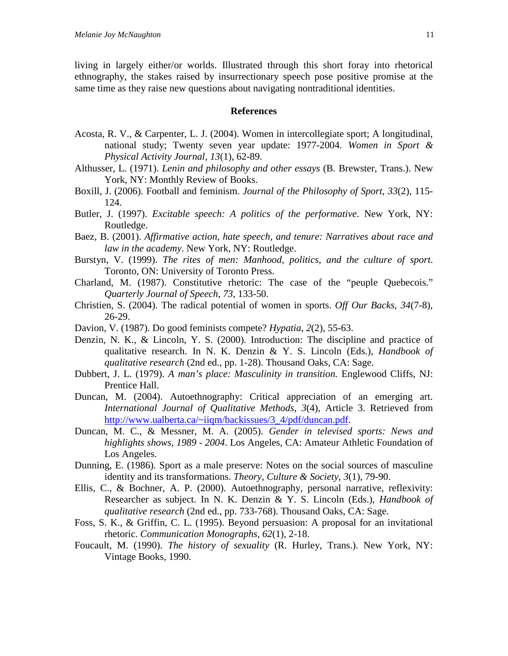living in largely either/or worlds. Illustrated through this short foray into rhetorical ethnography, the stakes raised by insurrectionary speech pose positive promise at the same time as they raise new questions about navigating nontraditional identities.

#### **References**

- Acosta, R. V., & Carpenter, L. J. (2004). Women in intercollegiate sport; A longitudinal, national study; Twenty seven year update: 1977-2004. *Women in Sport & Physical Activity Journal*, *13*(1), 62-89.
- Althusser, L. (1971). *Lenin and philosophy and other essays* (B. Brewster, Trans.). New York, NY: Monthly Review of Books.
- Boxill, J. (2006). Football and feminism. *Journal of the Philosophy of Sport*, *33*(2), 115- 124.
- Butler, J. (1997). *Excitable speech: A politics of the performative*. New York, NY: Routledge.
- Baez, B. (2001). *Affirmative action, hate speech, and tenure: Narratives about race and law in the academy*. New York, NY: Routledge.
- Burstyn, V. (1999). *The rites of men: Manhood, politics, and the culture of sport*. Toronto, ON: University of Toronto Press.
- Charland, M. (1987). Constitutive rhetoric: The case of the "peuple Quebecois." *Quarterly Journal of Speech*, *73*, 133-50.
- Christien, S. (2004). The radical potential of women in sports. *Off Our Backs*, *34*(7-8), 26-29.
- Davion, V. (1987). Do good feminists compete? *Hypatia*, *2*(2), 55-63.
- Denzin, N. K., & Lincoln, Y. S. (2000). Introduction: The discipline and practice of qualitative research. In N. K. Denzin & Y. S. Lincoln (Eds.), *Handbook of qualitative research* (2nd ed., pp. 1-28). Thousand Oaks, CA: Sage.
- Dubbert, J. L. (1979). *A man's place: Masculinity in transition.* Englewood Cliffs, NJ: Prentice Hall.
- Duncan, M. (2004). Autoethnography: Critical appreciation of an emerging art. *International Journal of Qualitative Methods*, *3*(4), Article 3. Retrieved from [http://www.ualberta.ca/~iiqm/backissues/3\\_4/pdf/duncan.pdf.](http://www.ualberta.ca/~iiqm/backissues/3_4/pdf/duncan.pdf)
- Duncan, M. C., & Messner, M. A. (2005). *Gender in televised sports: News and highlights shows, 1989 - 2004*. Los Angeles, CA: Amateur Athletic Foundation of Los Angeles.
- Dunning, E. (1986). Sport as a male preserve: Notes on the social sources of masculine identity and its transformations. *Theory, Culture & Society*, *3*(1), 79-90.
- Ellis, C., & Bochner, A. P. (2000). Autoethnography, personal narrative, reflexivity: Researcher as subject. In N. K. Denzin & Y. S. Lincoln (Eds.), *Handbook of qualitative research* (2nd ed., pp. 733-768). Thousand Oaks, CA: Sage.
- Foss, S. K., & Griffin, C. L. (1995). Beyond persuasion: A proposal for an invitational rhetoric. *Communication Monographs*, *62*(1), 2-18.
- Foucault, M. (1990). *The history of sexuality* (R. Hurley, Trans.). New York, NY: Vintage Books, 1990.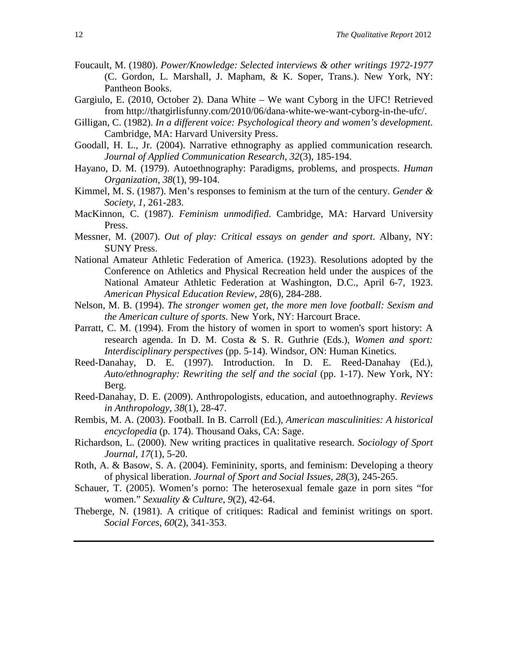- Foucault, M. (1980). *Power/Knowledge: Selected interviews & other writings 1972-1977* (C. Gordon, L. Marshall, J. Mapham, & K. Soper, Trans.). New York, NY: Pantheon Books.
- Gargiulo, E. (2010, October 2). Dana White We want Cyborg in the UFC! Retrieved from http://thatgirlisfunny.com/2010/06/dana-white-we-want-cyborg-in-the-ufc/.
- Gilligan, C. (1982). *In a different voice: Psychological theory and women's development*. Cambridge, MA: Harvard University Press.
- Goodall, H. L., Jr. (2004). Narrative ethnography as applied communication research*. Journal of Applied Communication Research*, *32*(3), 185-194.
- Hayano, D. M. (1979). Autoethnography: Paradigms, problems, and prospects. *Human Organization*, *38*(1), 99-104.
- Kimmel, M. S. (1987). Men's responses to feminism at the turn of the century. *Gender & Society, 1*, 261-283.
- MacKinnon, C. (1987). *Feminism unmodified*. Cambridge, MA: Harvard University Press.
- Messner, M. (2007). *Out of play: Critical essays on gender and sport*. Albany, NY: SUNY Press.
- National Amateur Athletic Federation of America. (1923). Resolutions adopted by the Conference on Athletics and Physical Recreation held under the auspices of the National Amateur Athletic Federation at Washington, D.C., April 6-7, 1923. *American Physical Education Review, 28*(6), 284-288.
- Nelson, M. B. (1994). *The stronger women get, the more men love football: Sexism and the American culture of sports*. New York, NY: Harcourt Brace.
- Parratt, C. M. (1994). From the history of women in sport to women's sport history: A research agenda. In D. M. Costa & S. R. Guthrie (Eds.), *Women and sport: Interdisciplinary perspectives* (pp. 5-14). Windsor, ON: Human Kinetics.
- Reed-Danahay, D. E. (1997). Introduction. In D. E. Reed-Danahay (Ed.), *Auto/ethnography: Rewriting the self and the social* (pp. 1-17). New York, NY: Berg.
- Reed-Danahay, D. E. (2009). Anthropologists, education, and autoethnography. *Reviews in Anthropology, 38*(1), 28-47.
- Rembis, M. A. (2003). Football. In B. Carroll (Ed.), *American masculinities: A historical encyclopedia* (p. 174). Thousand Oaks, CA: Sage.
- Richardson, L. (2000). New writing practices in qualitative research. *Sociology of Sport Journal*, *17*(1), 5-20.
- Roth, A. & Basow, S. A. (2004). Femininity, sports, and feminism: Developing a theory of physical liberation. *Journal of Sport and Social Issues*, *28*(3), 245-265.
- Schauer, T. (2005). Women's porno: The heterosexual female gaze in porn sites "for women." *Sexuality & Culture*, *9*(2), 42-64.
- Theberge, N. (1981). A critique of critiques: Radical and feminist writings on sport. *Social Forces*, *60*(2), 341-353.